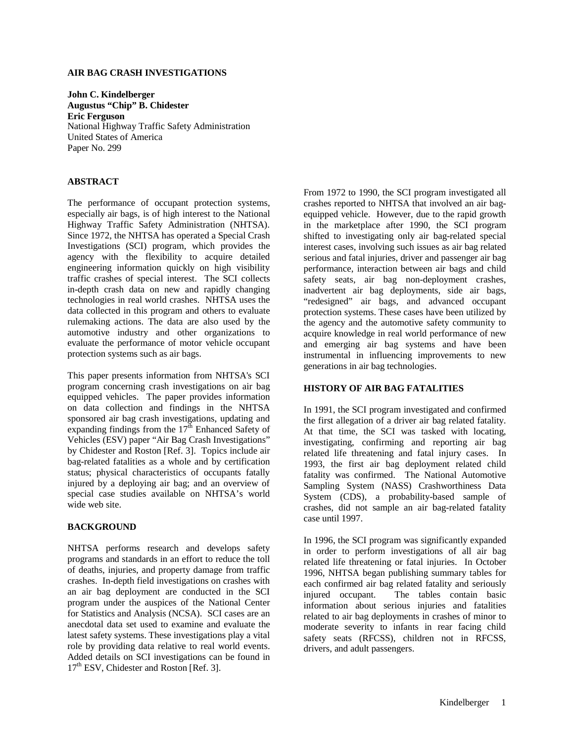## **AIR BAG CRASH INVESTIGATIONS**

**John C. Kindelberger Augustus "Chip" B. Chidester Eric Ferguson** National Highway Traffic Safety Administration United States of America Paper No. 299

# **ABSTRACT**

The performance of occupant protection systems, especially air bags, is of high interest to the National Highway Traffic Safety Administration (NHTSA). Since 1972, the NHTSA has operated a Special Crash Investigations (SCI) program, which provides the agency with the flexibility to acquire detailed engineering information quickly on high visibility traffic crashes of special interest. The SCI collects in-depth crash data on new and rapidly changing technologies in real world crashes. NHTSA uses the data collected in this program and others to evaluate rulemaking actions. The data are also used by the automotive industry and other organizations to evaluate the performance of motor vehicle occupant protection systems such as air bags.

This paper presents information from NHTSA's SCI program concerning crash investigations on air bag equipped vehicles. The paper provides information on data collection and findings in the NHTSA sponsored air bag crash investigations, updating and expanding findings from the  $17<sup>th</sup>$  Enhanced Safety of Vehicles (ESV) paper "Air Bag Crash Investigations" by Chidester and Roston [Ref. 3]. Topics include air bag-related fatalities as a whole and by certification status; physical characteristics of occupants fatally injured by a deploying air bag; and an overview of special case studies available on NHTSA's world wide web site.

#### **BACKGROUND**

NHTSA performs research and develops safety programs and standards in an effort to reduce the toll of deaths, injuries, and property damage from traffic crashes. In-depth field investigations on crashes with an air bag deployment are conducted in the SCI program under the auspices of the National Center for Statistics and Analysis (NCSA). SCI cases are an anecdotal data set used to examine and evaluate the latest safety systems. These investigations play a vital role by providing data relative to real world events. Added details on SCI investigations can be found in 17<sup>th</sup> ESV, Chidester and Roston [Ref. 3].

From 1972 to 1990, the SCI program investigated all crashes reported to NHTSA that involved an air bagequipped vehicle. However, due to the rapid growth in the marketplace after 1990, the SCI program shifted to investigating only air bag-related special interest cases, involving such issues as air bag related serious and fatal injuries, driver and passenger air bag performance, interaction between air bags and child safety seats, air bag non-deployment crashes, inadvertent air bag deployments, side air bags, "redesigned" air bags, and advanced occupant protection systems. These cases have been utilized by the agency and the automotive safety community to acquire knowledge in real world performance of new and emerging air bag systems and have been instrumental in influencing improvements to new generations in air bag technologies.

# **HISTORY OF AIR BAG FATALITIES**

In 1991, the SCI program investigated and confirmed the first allegation of a driver air bag related fatality. At that time, the SCI was tasked with locating, investigating, confirming and reporting air bag related life threatening and fatal injury cases. In 1993, the first air bag deployment related child fatality was confirmed. The National Automotive Sampling System (NASS) Crashworthiness Data System (CDS), a probability-based sample of crashes, did not sample an air bag-related fatality case until 1997.

In 1996, the SCI program was significantly expanded in order to perform investigations of all air bag related life threatening or fatal injuries. In October 1996, NHTSA began publishing summary tables for each confirmed air bag related fatality and seriously injured occupant. The tables contain basic information about serious injuries and fatalities related to air bag deployments in crashes of minor to moderate severity to infants in rear facing child safety seats (RFCSS), children not in RFCSS, drivers, and adult passengers.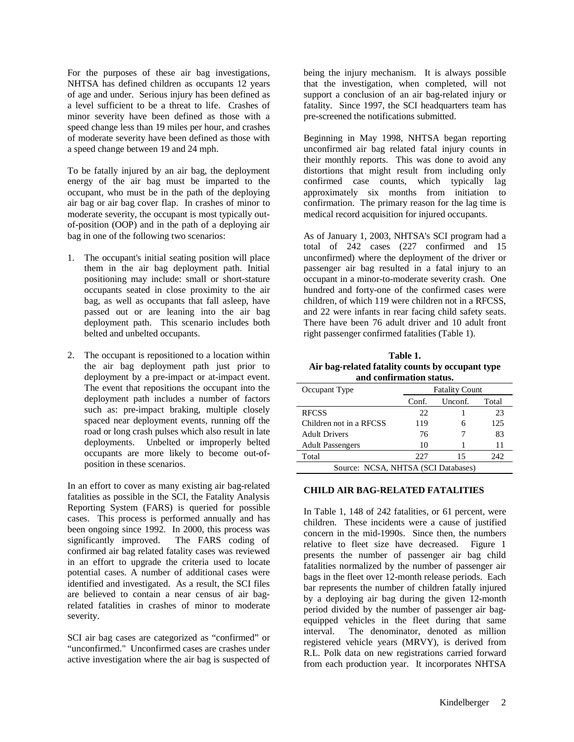For the purposes of these air bag investigations, NHTSA has defined children as occupants 12 years of age and under. Serious injury has been defined as a level sufficient to be a threat to life. Crashes of minor severity have been defined as those with a speed change less than 19 miles per hour, and crashes of moderate severity have been defined as those with a speed change between 19 and 24 mph.

To be fatally injured by an air bag, the deployment energy of the air bag must be imparted to the occupant, who must be in the path of the deploying air bag or air bag cover flap. In crashes of minor to moderate severity, the occupant is most typically outof-position (OOP) and in the path of a deploying air bag in one of the following two scenarios:

- 1. The occupant's initial seating position will place them in the air bag deployment path. Initial positioning may include: small or short-stature occupants seated in close proximity to the air bag, as well as occupants that fall asleep, have passed out or are leaning into the air bag deployment path. This scenario includes both belted and unbelted occupants.
- 2. The occupant is repositioned to a location within the air bag deployment path just prior to deployment by a pre-impact or at-impact event. The event that repositions the occupant into the deployment path includes a number of factors such as: pre-impact braking, multiple closely spaced near deployment events, running off the road or long crash pulses which also result in late deployments. Unbelted or improperly belted occupants are more likely to become out-ofposition in these scenarios.

In an effort to cover as many existing air bag-related fatalities as possible in the SCI, the Fatality Analysis Reporting System (FARS) is queried for possible cases. This process is performed annually and has been ongoing since 1992. In 2000, this process was significantly improved. The FARS coding of The FARS coding of confirmed air bag related fatality cases was reviewed in an effort to upgrade the criteria used to locate potential cases. A number of additional cases were identified and investigated. As a result, the SCI files are believed to contain a near census of air bagrelated fatalities in crashes of minor to moderate severity.

SCI air bag cases are categorized as "confirmed" or "unconfirmed." Unconfirmed cases are crashes under active investigation where the air bag is suspected of

being the injury mechanism. It is always possible that the investigation, when completed, will not support a conclusion of an air bag-related injury or fatality. Since 1997, the SCI headquarters team has pre-screened the notifications submitted.

Beginning in May 1998, NHTSA began reporting unconfirmed air bag related fatal injury counts in their monthly reports. This was done to avoid any distortions that might result from including only confirmed case counts, which typically lag approximately six months from initiation to confirmation. The primary reason for the lag time is medical record acquisition for injured occupants.

As of January 1, 2003, NHTSA's SCI program had a total of 242 cases (227 confirmed and 15 unconfirmed) where the deployment of the driver or passenger air bag resulted in a fatal injury to an occupant in a minor-to-moderate severity crash. One hundred and forty-one of the confirmed cases were children, of which 119 were children not in a RFCSS, and 22 were infants in rear facing child safety seats. There have been 76 adult driver and 10 adult front right passenger confirmed fatalities (Table 1).

**Table 1. Air bag-related fatality counts by occupant type and confirmation status.**

| Occupant Type                       | <b>Fatality Count</b> |         |       |
|-------------------------------------|-----------------------|---------|-------|
|                                     | Conf.                 | Unconf. | Total |
| <b>RFCSS</b>                        | 22                    |         | 23    |
| Children not in a RFCSS             | 119                   |         | 125   |
| <b>Adult Drivers</b>                | 76                    |         | 83    |
| <b>Adult Passengers</b>             | 10                    |         | 11    |
| Total                               | 227                   | 15      | 242.  |
| Source: NCSA, NHTSA (SCI Databases) |                       |         |       |

#### **CHILD AIR BAG-RELATED FATALITIES**

In Table 1, 148 of 242 fatalities, or 61 percent, were children. These incidents were a cause of justified concern in the mid-1990s. Since then, the numbers relative to fleet size have decreased. Figure 1 presents the number of passenger air bag child fatalities normalized by the number of passenger air bags in the fleet over 12-month release periods. Each bar represents the number of children fatally injured by a deploying air bag during the given 12-month period divided by the number of passenger air bagequipped vehicles in the fleet during that same interval. The denominator, denoted as million registered vehicle years (MRVY), is derived from R.L. Polk data on new registrations carried forward from each production year. It incorporates NHTSA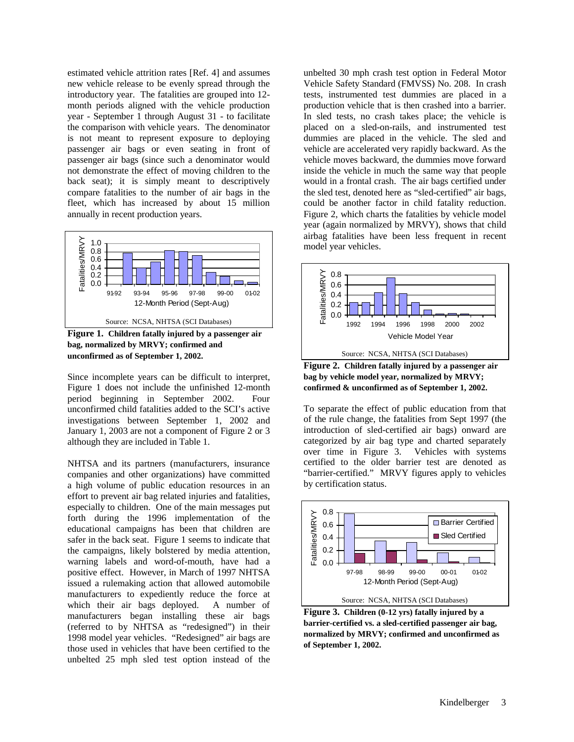estimated vehicle attrition rates [Ref. 4] and assumes new vehicle release to be evenly spread through the introductory year. The fatalities are grouped into 12 month periods aligned with the vehicle production year - September 1 through August 31 - to facilitate the comparison with vehicle years. The denominator is not meant to represent exposure to deploying passenger air bags or even seating in front of passenger air bags (since such a denominator would not demonstrate the effect of moving children to the back seat); it is simply meant to descriptively compare fatalities to the number of air bags in the fleet, which has increased by about 15 million annually in recent production years.



**Figure 1. Children fatally injured by a passenger air bag, normalized by MRVY; confirmed and unconfirmed as of September 1, 2002.**

Since incomplete years can be difficult to interpret, Figure 1 does not include the unfinished 12-month period beginning in September 2002. Four unconfirmed child fatalities added to the SCI's active investigations between September 1, 2002 and January 1, 2003 are not a component of Figure 2 or 3 although they are included in Table 1.

NHTSA and its partners (manufacturers, insurance companies and other organizations) have committed a high volume of public education resources in an effort to prevent air bag related injuries and fatalities, especially to children. One of the main messages put forth during the 1996 implementation of the educational campaigns has been that children are safer in the back seat. Figure 1 seems to indicate that the campaigns, likely bolstered by media attention, warning labels and word-of-mouth, have had a positive effect. However, in March of 1997 NHTSA issued a rulemaking action that allowed automobile manufacturers to expediently reduce the force at which their air bags deployed. A number of manufacturers began installing these air bags (referred to by NHTSA as "redesigned") in their 1998 model year vehicles. "Redesigned" air bags are those used in vehicles that have been certified to the unbelted 25 mph sled test option instead of the

unbelted 30 mph crash test option in Federal Motor Vehicle Safety Standard (FMVSS) No. 208. In crash tests, instrumented test dummies are placed in a production vehicle that is then crashed into a barrier. In sled tests, no crash takes place; the vehicle is placed on a sled-on-rails, and instrumented test dummies are placed in the vehicle. The sled and vehicle are accelerated very rapidly backward. As the vehicle moves backward, the dummies move forward inside the vehicle in much the same way that people would in a frontal crash. The air bags certified under the sled test, denoted here as "sled-certified" air bags, could be another factor in child fatality reduction. Figure 2, which charts the fatalities by vehicle model year (again normalized by MRVY), shows that child airbag fatalities have been less frequent in recent model year vehicles.



**Figure 2. Children fatally injured by a passenger air bag by vehicle model year, normalized by MRVY; confirmed & unconfirmed as of September 1, 2002.**

To separate the effect of public education from that of the rule change, the fatalities from Sept 1997 (the introduction of sled-certified air bags) onward are categorized by air bag type and charted separately over time in Figure 3. Vehicles with systems certified to the older barrier test are denoted as "barrier-certified." MRVY figures apply to vehicles by certification status.



**Figure 3. Children (0-12 yrs) fatally injured by a barrier-certified vs. a sled-certified passenger air bag, normalized by MRVY; confirmed and unconfirmed as of September 1, 2002.**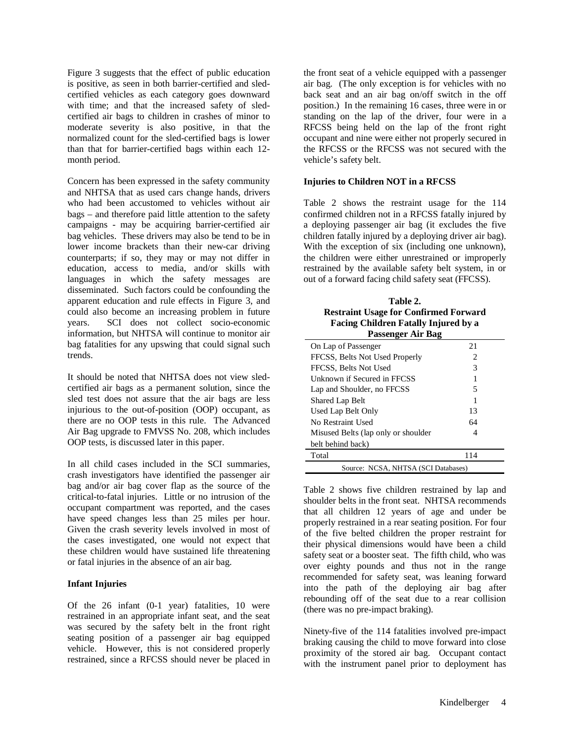Figure 3 suggests that the effect of public education is positive, as seen in both barrier-certified and sledcertified vehicles as each category goes downward with time; and that the increased safety of sledcertified air bags to children in crashes of minor to moderate severity is also positive, in that the normalized count for the sled-certified bags is lower than that for barrier-certified bags within each 12 month period.

Concern has been expressed in the safety community and NHTSA that as used cars change hands, drivers who had been accustomed to vehicles without air bags – and therefore paid little attention to the safety campaigns - may be acquiring barrier-certified air bag vehicles. These drivers may also be tend to be in lower income brackets than their new-car driving counterparts; if so, they may or may not differ in education, access to media, and/or skills with languages in which the safety messages are disseminated. Such factors could be confounding the apparent education and rule effects in Figure 3, and could also become an increasing problem in future years. SCI does not collect socio-economic information, but NHTSA will continue to monitor air bag fatalities for any upswing that could signal such trends.

It should be noted that NHTSA does not view sledcertified air bags as a permanent solution, since the sled test does not assure that the air bags are less injurious to the out-of-position (OOP) occupant, as there are no OOP tests in this rule. The Advanced Air Bag upgrade to FMVSS No. 208, which includes OOP tests, is discussed later in this paper.

In all child cases included in the SCI summaries, crash investigators have identified the passenger air bag and/or air bag cover flap as the source of the critical-to-fatal injuries. Little or no intrusion of the occupant compartment was reported, and the cases have speed changes less than 25 miles per hour. Given the crash severity levels involved in most of the cases investigated, one would not expect that these children would have sustained life threatening or fatal injuries in the absence of an air bag.

#### **Infant Injuries**

Of the 26 infant (0-1 year) fatalities, 10 were restrained in an appropriate infant seat, and the seat was secured by the safety belt in the front right seating position of a passenger air bag equipped vehicle. However, this is not considered properly restrained, since a RFCSS should never be placed in the front seat of a vehicle equipped with a passenger air bag. (The only exception is for vehicles with no back seat and an air bag on/off switch in the off position.) In the remaining 16 cases, three were in or standing on the lap of the driver, four were in a RFCSS being held on the lap of the front right occupant and nine were either not properly secured in the RFCSS or the RFCSS was not secured with the vehicle's safety belt.

#### **Injuries to Children NOT in a RFCSS**

Table 2 shows the restraint usage for the 114 confirmed children not in a RFCSS fatally injured by a deploying passenger air bag (it excludes the five children fatally injured by a deploying driver air bag). With the exception of six (including one unknown), the children were either unrestrained or improperly restrained by the available safety belt system, in or out of a forward facing child safety seat (FFCSS).

| Table 2.<br><b>Restraint Usage for Confirmed Forward</b><br>Facing Children Fatally Injured by a<br>Passenger Air Bag |     |  |  |
|-----------------------------------------------------------------------------------------------------------------------|-----|--|--|
| On Lap of Passenger                                                                                                   | 21  |  |  |
| FFCSS, Belts Not Used Properly                                                                                        | 2   |  |  |
| FFCSS, Belts Not Used                                                                                                 | 3   |  |  |
| Unknown if Secured in FFCSS                                                                                           |     |  |  |
| Lap and Shoulder, no FFCSS                                                                                            | 5   |  |  |
| Shared Lap Belt                                                                                                       |     |  |  |
| Used Lap Belt Only                                                                                                    | 13  |  |  |
| No Restraint Used                                                                                                     | 64  |  |  |
| Misused Belts (lap only or shoulder                                                                                   | 4   |  |  |
| belt behind back)                                                                                                     |     |  |  |
| Total                                                                                                                 | 114 |  |  |
| Source: NCSA, NHTSA (SCI Databases)                                                                                   |     |  |  |

Table 2 shows five children restrained by lap and shoulder belts in the front seat. NHTSA recommends that all children 12 years of age and under be properly restrained in a rear seating position. For four of the five belted children the proper restraint for their physical dimensions would have been a child safety seat or a booster seat. The fifth child, who was over eighty pounds and thus not in the range recommended for safety seat, was leaning forward into the path of the deploying air bag after rebounding off of the seat due to a rear collision (there was no pre-impact braking).

Ninety-five of the 114 fatalities involved pre-impact braking causing the child to move forward into close proximity of the stored air bag. Occupant contact with the instrument panel prior to deployment has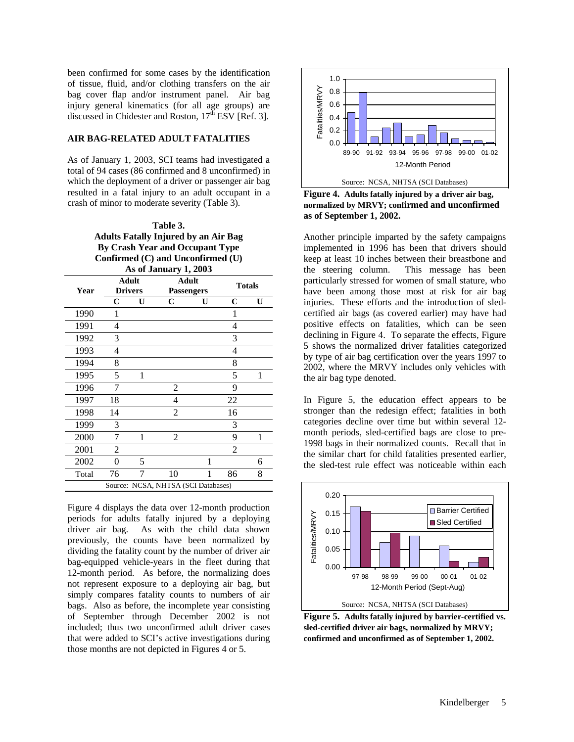been confirmed for some cases by the identification of tissue, fluid, and/or clothing transfers on the air bag cover flap and/or instrument panel. Air bag injury general kinematics (for all age groups) are discussed in Chidester and Roston,  $17<sup>th</sup>$  ESV [Ref. 3].

## **AIR BAG-RELATED ADULT FATALITIES**

As of January 1, 2003, SCI teams had investigated a total of 94 cases (86 confirmed and 8 unconfirmed) in which the deployment of a driver or passenger air bag resulted in a fatal injury to an adult occupant in a crash of minor to moderate severity (Table 3).

> **Table 3. Adults Fatally Injured by an Air Bag By Crash Year and Occupant Type Confirmed (C) and Unconfirmed (U) As of January 1, 2003**

| Year  |    | Adult<br><b>Drivers</b> | Adult<br><b>Passengers</b>          |   |                | <b>Totals</b> |
|-------|----|-------------------------|-------------------------------------|---|----------------|---------------|
|       | C  | U                       | C                                   | U | C              | U             |
| 1990  | 1  |                         |                                     |   | 1              |               |
| 1991  | 4  |                         |                                     |   | 4              |               |
| 1992  | 3  |                         |                                     |   | 3              |               |
| 1993  | 4  |                         |                                     |   | 4              |               |
| 1994  | 8  |                         |                                     |   | 8              |               |
| 1995  | 5  | 1                       |                                     |   | 5              | 1             |
| 1996  | 7  |                         | 2                                   |   | 9              |               |
| 1997  | 18 |                         | 4                                   |   | 22             |               |
| 1998  | 14 |                         | 2                                   |   | 16             |               |
| 1999  | 3  |                         |                                     |   | 3              |               |
| 2000  | 7  | 1                       | 2                                   |   | 9              | 1             |
| 2001  | 2  |                         |                                     |   | $\overline{2}$ |               |
| 2002  | 0  | 5                       |                                     | 1 |                | 6             |
| Total | 76 | 7                       | 10                                  | 1 | 86             | 8             |
|       |    |                         | Source: NCSA, NHTSA (SCI Databases) |   |                |               |

Figure 4 displays the data over 12-month production periods for adults fatally injured by a deploying driver air bag. As with the child data shown previously, the counts have been normalized by dividing the fatality count by the number of driver air bag-equipped vehicle-years in the fleet during that 12-month period. As before, the normalizing does not represent exposure to a deploying air bag, but simply compares fatality counts to numbers of air bags. Also as before, the incomplete year consisting of September through December 2002 is not included; thus two unconfirmed adult driver cases that were added to SCI's active investigations during those months are not depicted in Figures 4 or 5.



**Figure 4. Adults fatally injured by a driver air bag, normalized by MRVY; confirmed and unconfirmed as of September 1, 2002.**

Another principle imparted by the safety campaigns implemented in 1996 has been that drivers should keep at least 10 inches between their breastbone and the steering column. This message has been particularly stressed for women of small stature, who have been among those most at risk for air bag injuries. These efforts and the introduction of sledcertified air bags (as covered earlier) may have had positive effects on fatalities, which can be seen declining in Figure 4. To separate the effects, Figure 5 shows the normalized driver fatalities categorized by type of air bag certification over the years 1997 to 2002, where the MRVY includes only vehicles with the air bag type denoted.

In Figure 5, the education effect appears to be stronger than the redesign effect; fatalities in both categories decline over time but within several 12 month periods, sled-certified bags are close to pre-1998 bags in their normalized counts. Recall that in the similar chart for child fatalities presented earlier, the sled-test rule effect was noticeable within each



**Figure 5. Adults fatally injured by barrier-certified vs. sled-certified driver air bags, normalized by MRVY; confirmed and unconfirmed as of September 1, 2002.**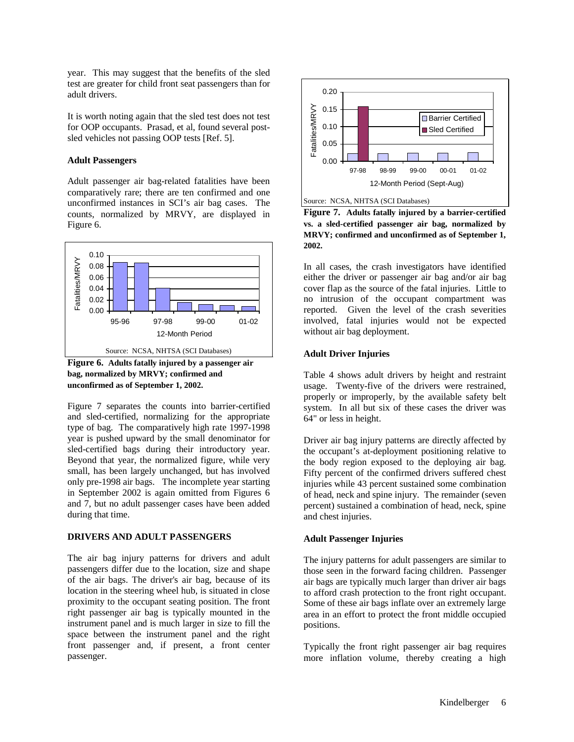year. This may suggest that the benefits of the sled test are greater for child front seat passengers than for adult drivers.

It is worth noting again that the sled test does not test for OOP occupants. Prasad, et al, found several postsled vehicles not passing OOP tests [Ref. 5].

#### **Adult Passengers**

Adult passenger air bag-related fatalities have been comparatively rare; there are ten confirmed and one unconfirmed instances in SCI's air bag cases. The counts, normalized by MRVY, are displayed in Figure 6.



**Figure 6. Adults fatally injured by a passenger air bag, normalized by MRVY; confirmed and unconfirmed as of September 1, 2002.**

Figure 7 separates the counts into barrier-certified and sled-certified, normalizing for the appropriate type of bag. The comparatively high rate 1997-1998 year is pushed upward by the small denominator for sled-certified bags during their introductory year. Beyond that year, the normalized figure, while very small, has been largely unchanged, but has involved only pre-1998 air bags. The incomplete year starting in September 2002 is again omitted from Figures 6 and 7, but no adult passenger cases have been added during that time.

## **DRIVERS AND ADULT PASSENGERS**

The air bag injury patterns for drivers and adult passengers differ due to the location, size and shape of the air bags. The driver's air bag, because of its location in the steering wheel hub, is situated in close proximity to the occupant seating position. The front right passenger air bag is typically mounted in the instrument panel and is much larger in size to fill the space between the instrument panel and the right front passenger and, if present, a front center passenger.



**Figure 7. Adults fatally injured by a barrier-certified vs. a sled-certified passenger air bag, normalized by MRVY; confirmed and unconfirmed as of September 1, 2002.**

In all cases, the crash investigators have identified either the driver or passenger air bag and/or air bag cover flap as the source of the fatal injuries. Little to no intrusion of the occupant compartment was reported. Given the level of the crash severities involved, fatal injuries would not be expected without air bag deployment.

## **Adult Driver Injuries**

Table 4 shows adult drivers by height and restraint usage. Twenty-five of the drivers were restrained, properly or improperly, by the available safety belt system. In all but six of these cases the driver was 64" or less in height.

Driver air bag injury patterns are directly affected by the occupant's at-deployment positioning relative to the body region exposed to the deploying air bag. Fifty percent of the confirmed drivers suffered chest injuries while 43 percent sustained some combination of head, neck and spine injury. The remainder (seven percent) sustained a combination of head, neck, spine and chest injuries.

# **Adult Passenger Injuries**

The injury patterns for adult passengers are similar to those seen in the forward facing children. Passenger air bags are typically much larger than driver air bags to afford crash protection to the front right occupant. Some of these air bags inflate over an extremely large area in an effort to protect the front middle occupied positions.

Typically the front right passenger air bag requires more inflation volume, thereby creating a high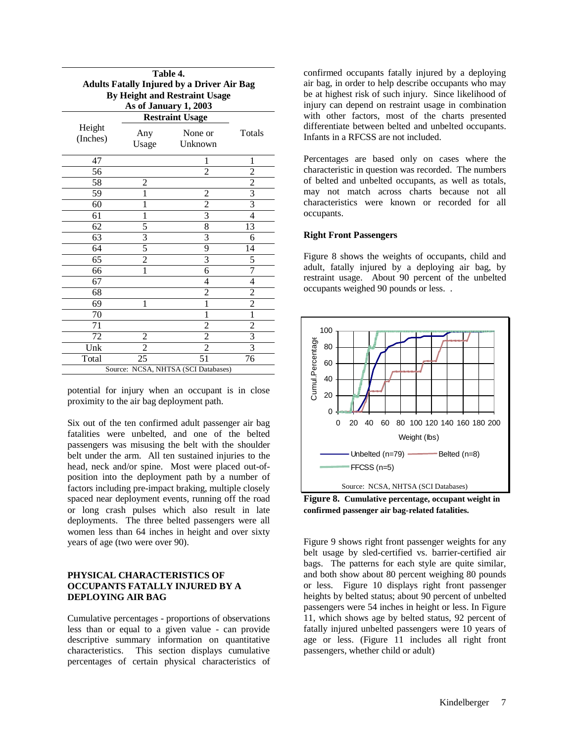| Table 4.<br><b>Adults Fatally Injured by a Driver Air Bag</b><br>By Height and Restraint Usage<br>As of January 1, 2003 |                                     |                         |                         |  |  |
|-------------------------------------------------------------------------------------------------------------------------|-------------------------------------|-------------------------|-------------------------|--|--|
| <b>Restraint Usage</b>                                                                                                  |                                     |                         |                         |  |  |
| Height<br>(Inches)                                                                                                      | Any<br>Usage                        | None or<br>Unknown      | Totals                  |  |  |
| 47                                                                                                                      |                                     | 1                       | 1                       |  |  |
| 56                                                                                                                      |                                     | $\overline{2}$          | $\overline{c}$          |  |  |
| 58                                                                                                                      | 2                                   |                         | 2                       |  |  |
| 59                                                                                                                      | 1                                   | $\overline{c}$          | 3                       |  |  |
| 60                                                                                                                      | 1                                   | $\overline{2}$          | $\overline{3}$          |  |  |
| 61                                                                                                                      | 1                                   | 3                       | 4                       |  |  |
| 62                                                                                                                      | 5                                   | 8                       | 13                      |  |  |
| 63                                                                                                                      | $\frac{3}{5}$                       | $\overline{\mathbf{3}}$ | 6                       |  |  |
| 64                                                                                                                      |                                     | 9                       | 14                      |  |  |
| 65                                                                                                                      | $\overline{2}$                      | $\overline{\mathbf{3}}$ | 5                       |  |  |
| 66                                                                                                                      | 1                                   | 6                       | 7                       |  |  |
| 67                                                                                                                      |                                     | 4                       | 4                       |  |  |
| 68                                                                                                                      |                                     | $\overline{c}$          | $\overline{\mathbf{c}}$ |  |  |
| 69                                                                                                                      | 1                                   | $\overline{1}$          | $\overline{2}$          |  |  |
| 70                                                                                                                      |                                     | 1                       | $\overline{1}$          |  |  |
| 71                                                                                                                      |                                     | $\frac{2}{2}$           | $\frac{2}{3}$           |  |  |
| 72                                                                                                                      | 2                                   |                         |                         |  |  |
| Unk                                                                                                                     | $\overline{2}$                      | $\overline{2}$          | $\overline{3}$          |  |  |
| Total                                                                                                                   | 25                                  | 51                      | 76                      |  |  |
|                                                                                                                         | Source: NCSA, NHTSA (SCI Databases) |                         |                         |  |  |

potential for injury when an occupant is in close proximity to the air bag deployment path.

Six out of the ten confirmed adult passenger air bag fatalities were unbelted, and one of the belted passengers was misusing the belt with the shoulder belt under the arm. All ten sustained injuries to the head, neck and/or spine. Most were placed out-ofposition into the deployment path by a number of factors including pre-impact braking, multiple closely spaced near deployment events, running off the road or long crash pulses which also result in late deployments. The three belted passengers were all women less than 64 inches in height and over sixty years of age (two were over 90).

# **PHYSICAL CHARACTERISTICS OF OCCUPANTS FATALLY INJURED BY A DEPLOYING AIR BAG**

Cumulative percentages - proportions of observations less than or equal to a given value - can provide descriptive summary information on quantitative characteristics. This section displays cumulative percentages of certain physical characteristics of

confirmed occupants fatally injured by a deploying air bag, in order to help describe occupants who may be at highest risk of such injury. Since likelihood of injury can depend on restraint usage in combination with other factors, most of the charts presented differentiate between belted and unbelted occupants. Infants in a RFCSS are not included.

Percentages are based only on cases where the characteristic in question was recorded. The numbers of belted and unbelted occupants, as well as totals, may not match across charts because not all characteristics were known or recorded for all occupants.

## **Right Front Passengers**

Figure 8 shows the weights of occupants, child and adult, fatally injured by a deploying air bag, by restraint usage. About 90 percent of the unbelted occupants weighed 90 pounds or less. .



**Figure 8. Cumulative percentage, occupant weight in confirmed passenger air bag-related fatalities.**

Figure 9 shows right front passenger weights for any belt usage by sled-certified vs. barrier-certified air bags. The patterns for each style are quite similar, and both show about 80 percent weighing 80 pounds or less. Figure 10 displays right front passenger heights by belted status; about 90 percent of unbelted passengers were 54 inches in height or less. In Figure 11, which shows age by belted status, 92 percent of fatally injured unbelted passengers were 10 years of age or less. (Figure 11 includes all right front passengers, whether child or adult)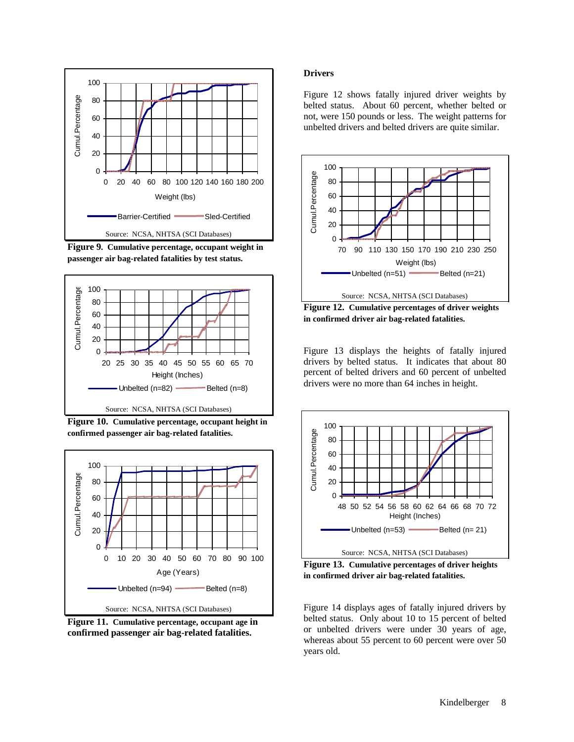

**Figure 9. Cumulative percentage, occupant weight in passenger air bag-related fatalities by test status.**



**Figure 10. Cumulative percentage, occupant height in confirmed passenger air bag-related fatalities.**



**Figure 11. Cumulative percentage, occupant age in confirmed passenger air bag-related fatalities.**

#### **Drivers**

Figure 12 shows fatally injured driver weights by belted status. About 60 percent, whether belted or not, were 150 pounds or less. The weight patterns for unbelted drivers and belted drivers are quite similar.



**Figure 12. Cumulative percentages of driver weights in confirmed driver air bag-related fatalities.**

Figure 13 displays the heights of fatally injured drivers by belted status. It indicates that about 80 percent of belted drivers and 60 percent of unbelted drivers were no more than 64 inches in height.



**Figure 13. Cumulative percentages of driver heights in confirmed driver air bag-related fatalities.**

Figure 14 displays ages of fatally injured drivers by belted status. Only about 10 to 15 percent of belted or unbelted drivers were under 30 years of age, whereas about 55 percent to 60 percent were over 50 years old.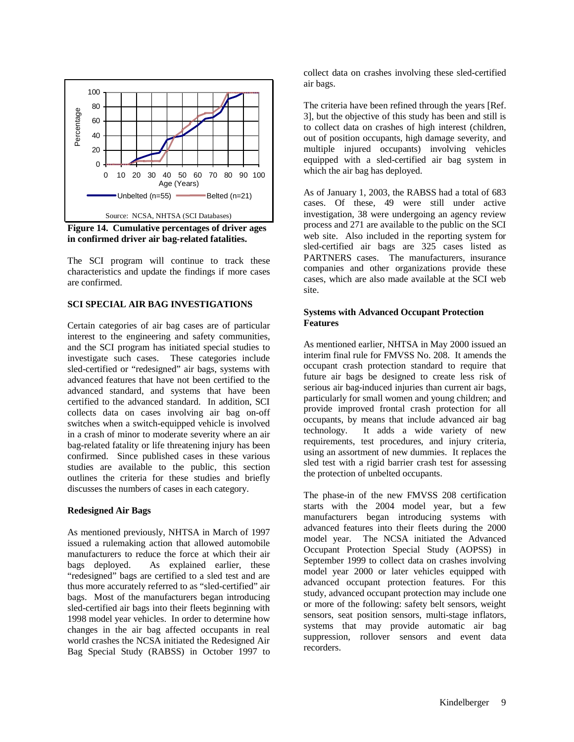

**Figure 14. Cumulative percentages of driver ages in confirmed driver air bag-related fatalities.**

The SCI program will continue to track these characteristics and update the findings if more cases are confirmed.

# **SCI SPECIAL AIR BAG INVESTIGATIONS**

Certain categories of air bag cases are of particular interest to the engineering and safety communities, and the SCI program has initiated special studies to investigate such cases. These categories include sled-certified or "redesigned" air bags, systems with advanced features that have not been certified to the advanced standard, and systems that have been certified to the advanced standard. In addition, SCI collects data on cases involving air bag on-off switches when a switch-equipped vehicle is involved in a crash of minor to moderate severity where an air bag-related fatality or life threatening injury has been confirmed. Since published cases in these various studies are available to the public, this section outlines the criteria for these studies and briefly discusses the numbers of cases in each category.

#### **Redesigned Air Bags**

As mentioned previously, NHTSA in March of 1997 issued a rulemaking action that allowed automobile manufacturers to reduce the force at which their air bags deployed. As explained earlier, these "redesigned" bags are certified to a sled test and are thus more accurately referred to as "sled-certified" air bags. Most of the manufacturers began introducing sled-certified air bags into their fleets beginning with 1998 model year vehicles. In order to determine how changes in the air bag affected occupants in real world crashes the NCSA initiated the Redesigned Air Bag Special Study (RABSS) in October 1997 to collect data on crashes involving these sled-certified air bags.

The criteria have been refined through the years [Ref. 3], but the objective of this study has been and still is to collect data on crashes of high interest (children, out of position occupants, high damage severity, and multiple injured occupants) involving vehicles equipped with a sled-certified air bag system in which the air bag has deployed.

As of January 1, 2003, the RABSS had a total of 683 cases. Of these, 49 were still under active investigation, 38 were undergoing an agency review process and 271 are available to the public on the SCI web site. Also included in the reporting system for sled-certified air bags are 325 cases listed as PARTNERS cases. The manufacturers, insurance companies and other organizations provide these cases, which are also made available at the SCI web site.

## **Systems with Advanced Occupant Protection Features**

As mentioned earlier, NHTSA in May 2000 issued an interim final rule for FMVSS No. 208. It amends the occupant crash protection standard to require that future air bags be designed to create less risk of serious air bag-induced injuries than current air bags, particularly for small women and young children; and provide improved frontal crash protection for all occupants, by means that include advanced air bag technology. It adds a wide variety of new requirements, test procedures, and injury criteria, using an assortment of new dummies. It replaces the sled test with a rigid barrier crash test for assessing the protection of unbelted occupants.

The phase-in of the new FMVSS 208 certification starts with the 2004 model year, but a few manufacturers began introducing systems with advanced features into their fleets during the 2000 model year. The NCSA initiated the Advanced Occupant Protection Special Study (AOPSS) in September 1999 to collect data on crashes involving model year 2000 or later vehicles equipped with advanced occupant protection features. For this study, advanced occupant protection may include one or more of the following: safety belt sensors, weight sensors, seat position sensors, multi-stage inflators, systems that may provide automatic air bag suppression, rollover sensors and event data recorders.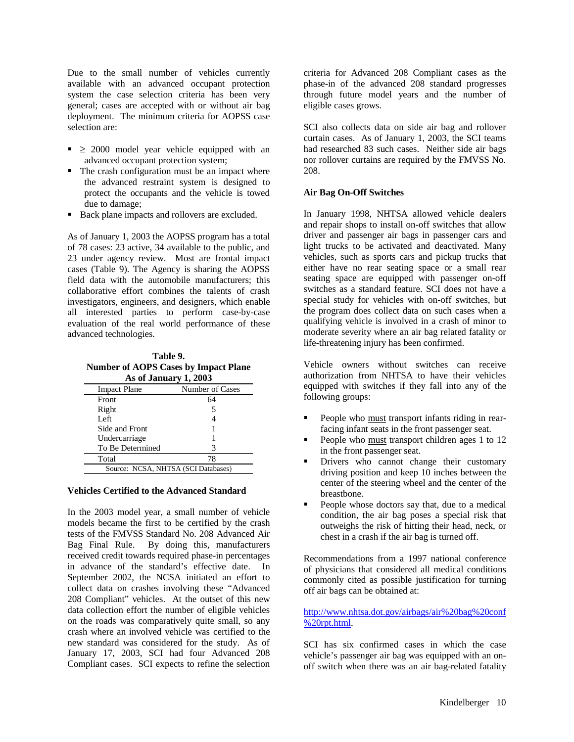Due to the small number of vehicles currently available with an advanced occupant protection system the case selection criteria has been very general; cases are accepted with or without air bag deployment. The minimum criteria for AOPSS case selection are:

- $\geq 2000$  model year vehicle equipped with an advanced occupant protection system;
- The crash configuration must be an impact where the advanced restraint system is designed to protect the occupants and the vehicle is towed due to damage;
- Back plane impacts and rollovers are excluded.

As of January 1, 2003 the AOPSS program has a total of 78 cases: 23 active, 34 available to the public, and 23 under agency review. Most are frontal impact cases (Table 9). The Agency is sharing the AOPSS field data with the automobile manufacturers; this collaborative effort combines the talents of crash investigators, engineers, and designers, which enable all interested parties to perform case-by-case evaluation of the real world performance of these advanced technologies.

**Table 9. Number of AOPS Cases by Impact Plane As of January 1, 2003**

| AS OI JAHUAI Y 1, 200J              |                 |  |
|-------------------------------------|-----------------|--|
| <b>Impact Plane</b>                 | Number of Cases |  |
| Front                               | 64              |  |
| Right                               | 5               |  |
| Left                                |                 |  |
| Side and Front                      |                 |  |
| Undercarriage                       |                 |  |
| To Be Determined                    | 3               |  |
| Total                               | 78              |  |
| Source: NCSA, NHTSA (SCI Databases) |                 |  |

#### **Vehicles Certified to the Advanced Standard**

In the 2003 model year, a small number of vehicle models became the first to be certified by the crash tests of the FMVSS Standard No. 208 Advanced Air Bag Final Rule. By doing this, manufacturers received credit towards required phase-in percentages in advance of the standard's effective date. In September 2002, the NCSA initiated an effort to collect data on crashes involving these "Advanced 208 Compliant" vehicles. At the outset of this new data collection effort the number of eligible vehicles on the roads was comparatively quite small, so any crash where an involved vehicle was certified to the new standard was considered for the study. As of January 17, 2003, SCI had four Advanced 208 Compliant cases. SCI expects to refine the selection

criteria for Advanced 208 Compliant cases as the phase-in of the advanced 208 standard progresses through future model years and the number of eligible cases grows.

SCI also collects data on side air bag and rollover curtain cases. As of January 1, 2003, the SCI teams had researched 83 such cases. Neither side air bags nor rollover curtains are required by the FMVSS No. 208.

# **Air Bag On-Off Switches**

In January 1998, NHTSA allowed vehicle dealers and repair shops to install on-off switches that allow driver and passenger air bags in passenger cars and light trucks to be activated and deactivated. Many vehicles, such as sports cars and pickup trucks that either have no rear seating space or a small rear seating space are equipped with passenger on-off switches as a standard feature. SCI does not have a special study for vehicles with on-off switches, but the program does collect data on such cases when a qualifying vehicle is involved in a crash of minor to moderate severity where an air bag related fatality or life-threatening injury has been confirmed.

Vehicle owners without switches can receive authorization from NHTSA to have their vehicles equipped with switches if they fall into any of the following groups:

- People who must transport infants riding in rearfacing infant seats in the front passenger seat.
- People who must transport children ages 1 to 12 in the front passenger seat.
- Drivers who cannot change their customary driving position and keep 10 inches between the center of the steering wheel and the center of the breastbone.
- People whose doctors say that, due to a medical condition, the air bag poses a special risk that outweighs the risk of hitting their head, neck, or chest in a crash if the air bag is turned off.

Recommendations from a 1997 national conference of physicians that considered all medical conditions commonly cited as possible justification for turning off air bags can be obtained at:

http://www.nhtsa.dot.gov/airbags/air%20bag%20conf  $\frac{1}{20}$ rpt.html.

SCI has six confirmed cases in which the case vehicle's passenger air bag was equipped with an onoff switch when there was an air bag-related fatality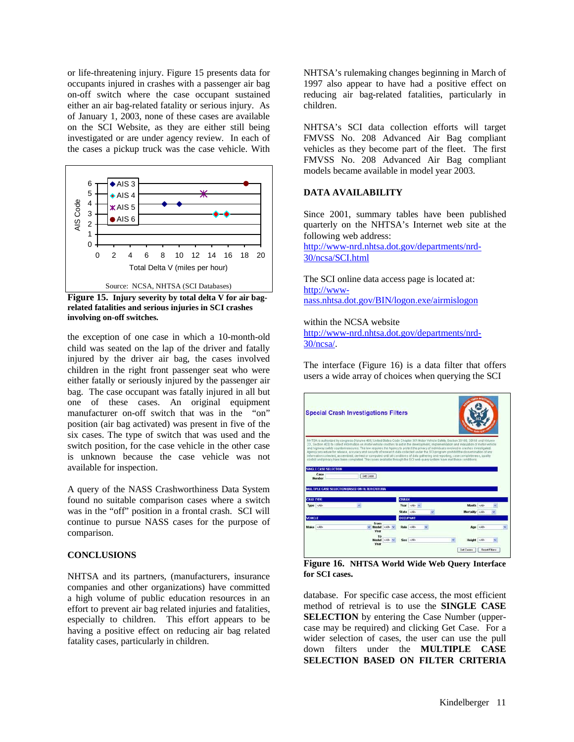or life-threatening injury. Figure 15 presents data for occupants injured in crashes with a passenger air bag on-off switch where the case occupant sustained either an air bag-related fatality or serious injury. As of January 1, 2003, none of these cases are available on the SCI Website, as they are either still being investigated or are under agency review. In each of the cases a pickup truck was the case vehicle. With



**Figure 15. Injury severity by total delta V for air bagrelated fatalities and serious injuries in SCI crashes involving on-off switches.**

the exception of one case in which a 10-month-old child was seated on the lap of the driver and fatally injured by the driver air bag, the cases involved children in the right front passenger seat who were either fatally or seriously injured by the passenger air bag. The case occupant was fatally injured in all but one of these cases. An original equipment manufacturer on-off switch that was in the "on" position (air bag activated) was present in five of the six cases. The type of switch that was used and the switch position, for the case vehicle in the other case is unknown because the case vehicle was not available for inspection.

A query of the NASS Crashworthiness Data System found no suitable comparison cases where a switch was in the "off" position in a frontal crash. SCI will continue to pursue NASS cases for the purpose of comparison.

# **CONCLUSIONS**

NHTSA and its partners, (manufacturers, insurance companies and other organizations) have committed a high volume of public education resources in an effort to prevent air bag related injuries and fatalities, especially to children. This effort appears to be having a positive effect on reducing air bag related fatality cases, particularly in children.

NHTSA's rulemaking changes beginning in March of 1997 also appear to have had a positive effect on reducing air bag-related fatalities, particularly in children.

NHTSA's SCI data collection efforts will target FMVSS No. 208 Advanced Air Bag compliant vehicles as they become part of the fleet. The first FMVSS No. 208 Advanced Air Bag compliant models became available in model year 2003.

## **DATA AVAILABILITY**

Since 2001, summary tables have been published quarterly on the NHTSA's Internet web site at the following web address:

http://www-nrd.nhtsa.dot.gov/departments/nrd-30/ncsa/SCI.html

The SCI online data access page is located at: http://wwwnass.nhtsa.dot.gov/BIN/logon.exe/airmislogon

within the NCSA website

http://www-nrd.nhtsa.dot.gov/departments/nrd-30/ncsa/.

The interface (Figure 16) is a data filter that offers users a wide array of choices when querying the SCI



**Figure 16. NHTSA World Wide Web Query Interface for SCI cases.**

database. For specific case access, the most efficient method of retrieval is to use the **SINGLE CASE SELECTION** by entering the Case Number (uppercase may be required) and clicking Get Case. For a wider selection of cases, the user can use the pull down filters under the **MULTIPLE CASE SELECTION BASED ON FILTER CRITERIA**